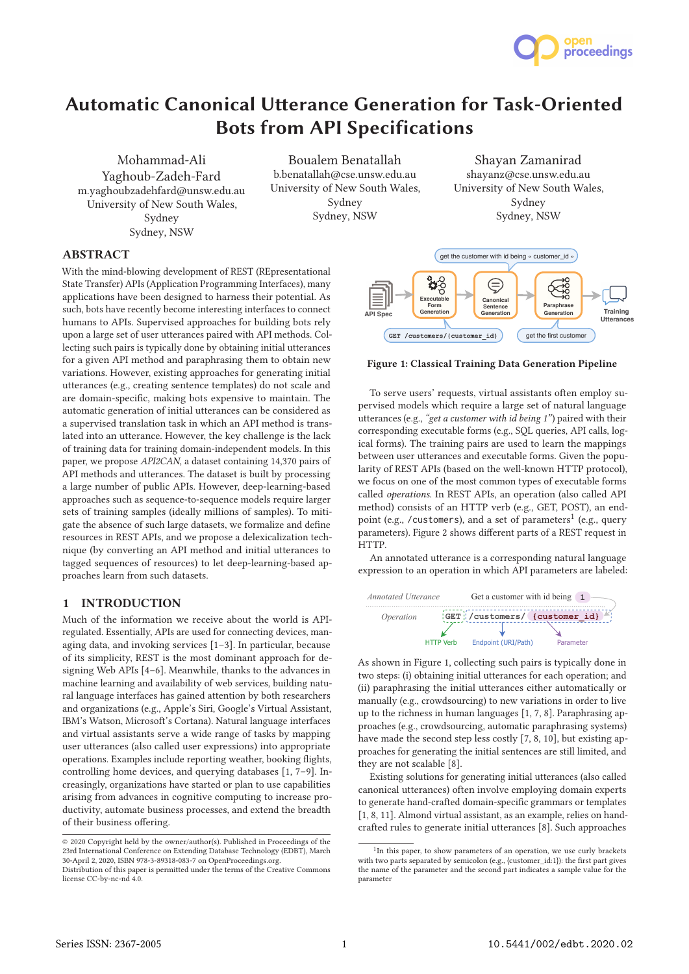

# Automatic Canonical Utterance Generation for Task-Oriented Bots from API Specifications

Mohammad-Ali Yaghoub-Zadeh-Fard m.yaghoubzadehfard@unsw.edu.au University of New South Wales, Sydney Sydney, NSW

Boualem Benatallah b.benatallah@cse.unsw.edu.au University of New South Wales, Sydney Sydney, NSW

Shayan Zamanirad shayanz@cse.unsw.edu.au University of New South Wales, Sydney Sydney, NSW

# ABSTRACT

With the mind-blowing development of REST (REpresentational State Transfer) APIs (Application Programming Interfaces), many applications have been designed to harness their potential. As such, bots have recently become interesting interfaces to connect humans to APIs. Supervised approaches for building bots rely upon a large set of user utterances paired with API methods. Collecting such pairs is typically done by obtaining initial utterances for a given API method and paraphrasing them to obtain new variations. However, existing approaches for generating initial utterances (e.g., creating sentence templates) do not scale and are domain-specific, making bots expensive to maintain. The automatic generation of initial utterances can be considered as a supervised translation task in which an API method is translated into an utterance. However, the key challenge is the lack of training data for training domain-independent models. In this paper, we propose API2CAN, a dataset containing 14,370 pairs of API methods and utterances. The dataset is built by processing a large number of public APIs. However, deep-learning-based approaches such as sequence-to-sequence models require larger sets of training samples (ideally millions of samples). To mitigate the absence of such large datasets, we formalize and define resources in REST APIs, and we propose a delexicalization technique (by converting an API method and initial utterances to tagged sequences of resources) to let deep-learning-based approaches learn from such datasets.

#### 1 INTRODUCTION

Much of the information we receive about the world is APIregulated. Essentially, APIs are used for connecting devices, managing data, and invoking services [1–3]. In particular, because of its simplicity, REST is the most dominant approach for designing Web APIs [4–6]. Meanwhile, thanks to the advances in machine learning and availability of web services, building natural language interfaces has gained attention by both researchers and organizations (e.g., Apple's Siri, Google's Virtual Assistant, IBM's Watson, Microsoft's Cortana). Natural language interfaces and virtual assistants serve a wide range of tasks by mapping user utterances (also called user expressions) into appropriate operations. Examples include reporting weather, booking flights, controlling home devices, and querying databases [1, 7–9]. Increasingly, organizations have started or plan to use capabilities arising from advances in cognitive computing to increase productivity, automate business processes, and extend the breadth of their business offering.



#### Figure 1: Classical Training Data Generation Pipeline

To serve users' requests, virtual assistants often employ supervised models which require a large set of natural language utterances (e.g., "get a customer with id being 1") paired with their corresponding executable forms (e.g., SQL queries, API calls, logical forms). The training pairs are used to learn the mappings between user utterances and executable forms. Given the popularity of REST APIs (based on the well-known HTTP protocol), we focus on one of the most common types of executable forms called operations. In REST APIs, an operation (also called API method) consists of an HTTP verb (e.g., GET, POST), an endpoint (e.g., /customers), and a set of parameters<sup>1</sup> (e.g., query parameters). Figure 2 shows different parts of a REST request in HTTP.

An annotated utterance is a corresponding natural language expression to an operation in which API parameters are labeled:



As shown in Figure 1, collecting such pairs is typically done in two steps: (i) obtaining initial utterances for each operation; and (ii) paraphrasing the initial utterances either automatically or manually (e.g., crowdsourcing) to new variations in order to live up to the richness in human languages [1, 7, 8]. Paraphrasing approaches (e.g., crowdsourcing, automatic paraphrasing systems) have made the second step less costly [7, 8, 10], but existing approaches for generating the initial sentences are still limited, and they are not scalable [8].

Existing solutions for generating initial utterances (also called canonical utterances) often involve employing domain experts to generate hand-crafted domain-specific grammars or templates [1, 8, 11]. Almond virtual assistant, as an example, relies on handcrafted rules to generate initial utterances [8]. Such approaches

<sup>©</sup> 2020 Copyright held by the owner/author(s). Published in Proceedings of the 23rd International Conference on Extending Database Technology (EDBT), March 30-April 2, 2020, ISBN 978-3-89318-083-7 on OpenProceedings.org.

Distribution of this paper is permitted under the terms of the Creative Commons license CC-by-nc-nd 4.0.

<sup>&</sup>lt;sup>1</sup>In this paper, to show parameters of an operation, we use curly brackets with two parts separated by semicolon (e.g., {customer\_id:1}): the first part gives the name of the parameter and the second part indicates a sample value for the parameter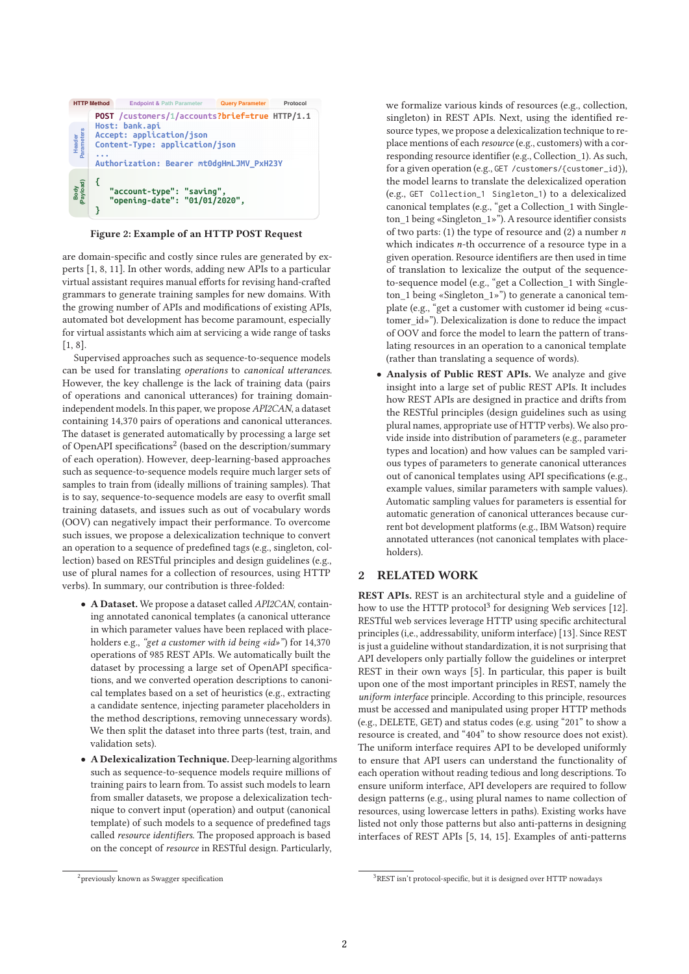

Figure 2: Example of an HTTP POST Request

are domain-specific and costly since rules are generated by experts [1, 8, 11]. In other words, adding new APIs to a particular virtual assistant requires manual efforts for revising hand-crafted grammars to generate training samples for new domains. With the growing number of APIs and modifications of existing APIs, automated bot development has become paramount, especially for virtual assistants which aim at servicing a wide range of tasks [1, 8].

Supervised approaches such as sequence-to-sequence models can be used for translating operations to canonical utterances. However, the key challenge is the lack of training data (pairs of operations and canonical utterances) for training domainindependent models. In this paper, we propose API2CAN, a dataset containing 14,370 pairs of operations and canonical utterances. The dataset is generated automatically by processing a large set of OpenAPI specifications<sup>2</sup> (based on the description/summary of each operation). However, deep-learning-based approaches such as sequence-to-sequence models require much larger sets of samples to train from (ideally millions of training samples). That is to say, sequence-to-sequence models are easy to overfit small training datasets, and issues such as out of vocabulary words (OOV) can negatively impact their performance. To overcome such issues, we propose a delexicalization technique to convert an operation to a sequence of predefined tags (e.g., singleton, collection) based on RESTful principles and design guidelines (e.g., use of plural names for a collection of resources, using HTTP verbs). In summary, our contribution is three-folded:

- A Dataset. We propose a dataset called API2CAN, containing annotated canonical templates (a canonical utterance in which parameter values have been replaced with placeholders e.g., "get a customer with id being «id»") for 14,370 operations of 985 REST APIs. We automatically built the dataset by processing a large set of OpenAPI specifications, and we converted operation descriptions to canonical templates based on a set of heuristics (e.g., extracting a candidate sentence, injecting parameter placeholders in the method descriptions, removing unnecessary words). We then split the dataset into three parts (test, train, and validation sets).
- A Delexicalization Technique. Deep-learning algorithms such as sequence-to-sequence models require millions of training pairs to learn from. To assist such models to learn from smaller datasets, we propose a delexicalization technique to convert input (operation) and output (canonical template) of such models to a sequence of predefined tags called resource identifiers. The proposed approach is based on the concept of resource in RESTful design. Particularly,

we formalize various kinds of resources (e.g., collection, singleton) in REST APIs. Next, using the identified resource types, we propose a delexicalization technique to replace mentions of each resource (e.g., customers) with a corresponding resource identifier (e.g., Collection\_1). As such, for a given operation (e.g., GET /customers/{customer\_id}), the model learns to translate the delexicalized operation (e.g., GET Collection\_1 Singleton\_1) to a delexicalized canonical templates (e.g., "get a Collection\_1 with Singleton\_1 being «Singleton\_1»"). A resource identifier consists of two parts: (1) the type of resource and (2) a number  $n$ which indicates n-th occurrence of a resource type in a given operation. Resource identifiers are then used in time of translation to lexicalize the output of the sequenceto-sequence model (e.g., "get a Collection\_1 with Singleton\_1 being «Singleton\_1»") to generate a canonical template (e.g., "get a customer with customer id being «customer id»"). Delexicalization is done to reduce the impact of OOV and force the model to learn the pattern of translating resources in an operation to a canonical template (rather than translating a sequence of words).

• Analysis of Public REST APIs. We analyze and give insight into a large set of public REST APIs. It includes how REST APIs are designed in practice and drifts from the RESTful principles (design guidelines such as using plural names, appropriate use of HTTP verbs). We also provide inside into distribution of parameters (e.g., parameter types and location) and how values can be sampled various types of parameters to generate canonical utterances out of canonical templates using API specifications (e.g., example values, similar parameters with sample values). Automatic sampling values for parameters is essential for automatic generation of canonical utterances because current bot development platforms (e.g., IBM Watson) require annotated utterances (not canonical templates with placeholders).

# 2 RELATED WORK

REST APIs. REST is an architectural style and a guideline of how to use the HTTP protocol<sup>3</sup> for designing Web services [12]. RESTful web services leverage HTTP using specific architectural principles (i,e., addressability, uniform interface) [13]. Since REST is just a guideline without standardization, it is not surprising that API developers only partially follow the guidelines or interpret REST in their own ways [5]. In particular, this paper is built upon one of the most important principles in REST, namely the uniform interface principle. According to this principle, resources must be accessed and manipulated using proper HTTP methods (e.g., DELETE, GET) and status codes (e.g. using "201" to show a resource is created, and "404" to show resource does not exist). The uniform interface requires API to be developed uniformly to ensure that API users can understand the functionality of each operation without reading tedious and long descriptions. To ensure uniform interface, API developers are required to follow design patterns (e.g., using plural names to name collection of resources, using lowercase letters in paths). Existing works have listed not only those patterns but also anti-patterns in designing interfaces of REST APIs [5, 14, 15]. Examples of anti-patterns

 $2$ previously known as Swagger specification

 $3$ REST isn't protocol-specific, but it is designed over HTTP nowadays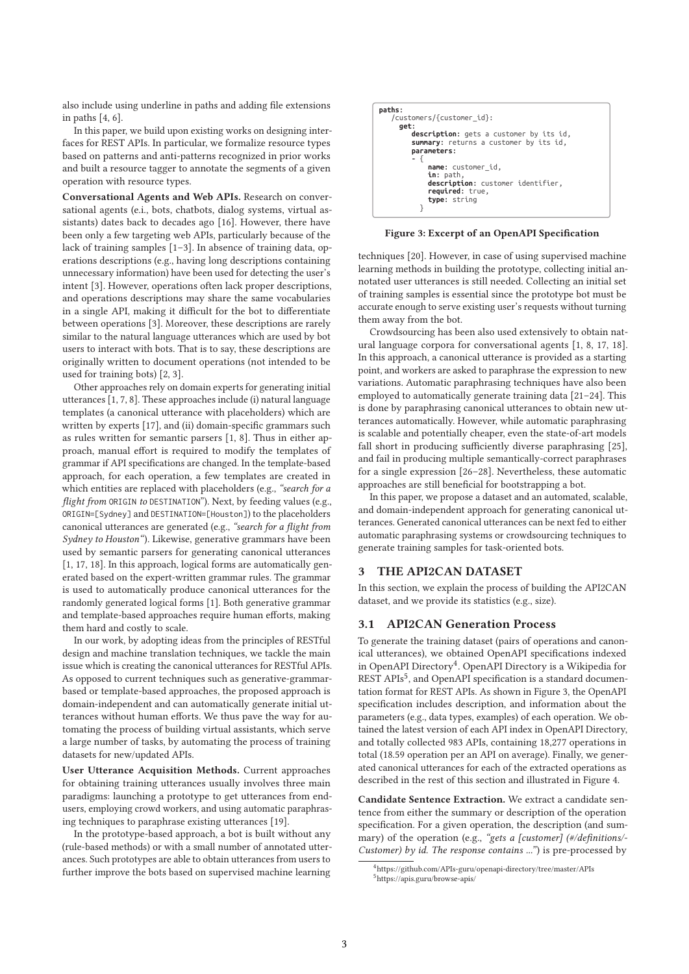also include using underline in paths and adding file extensions in paths [4, 6].

In this paper, we build upon existing works on designing interfaces for REST APIs. In particular, we formalize resource types based on patterns and anti-patterns recognized in prior works and built a resource tagger to annotate the segments of a given operation with resource types.

Conversational Agents and Web APIs. Research on conversational agents (e.i., bots, chatbots, dialog systems, virtual assistants) dates back to decades ago [16]. However, there have been only a few targeting web APIs, particularly because of the lack of training samples [1–3]. In absence of training data, operations descriptions (e.g., having long descriptions containing unnecessary information) have been used for detecting the user's intent [3]. However, operations often lack proper descriptions, and operations descriptions may share the same vocabularies in a single API, making it difficult for the bot to differentiate between operations [3]. Moreover, these descriptions are rarely similar to the natural language utterances which are used by bot users to interact with bots. That is to say, these descriptions are originally written to document operations (not intended to be used for training bots) [2, 3].

Other approaches rely on domain experts for generating initial utterances [1, 7, 8]. These approaches include (i) natural language templates (a canonical utterance with placeholders) which are written by experts [17], and (ii) domain-specific grammars such as rules written for semantic parsers [1, 8]. Thus in either approach, manual effort is required to modify the templates of grammar if API specifications are changed. In the template-based approach, for each operation, a few templates are created in which entities are replaced with placeholders (e.g., "search for a flight from ORIGIN to DESTINATION"). Next, by feeding values (e.g., ORIGIN=[Sydney] and DESTINATION=[Houston]) to the placeholders canonical utterances are generated (e.g., "search for a flight from Sydney to Houston"). Likewise, generative grammars have been used by semantic parsers for generating canonical utterances [1, 17, 18]. In this approach, logical forms are automatically generated based on the expert-written grammar rules. The grammar is used to automatically produce canonical utterances for the randomly generated logical forms [1]. Both generative grammar and template-based approaches require human efforts, making them hard and costly to scale.

In our work, by adopting ideas from the principles of RESTful design and machine translation techniques, we tackle the main issue which is creating the canonical utterances for RESTful APIs. As opposed to current techniques such as generative-grammarbased or template-based approaches, the proposed approach is domain-independent and can automatically generate initial utterances without human efforts. We thus pave the way for automating the process of building virtual assistants, which serve a large number of tasks, by automating the process of training datasets for new/updated APIs.

User Utterance Acquisition Methods. Current approaches for obtaining training utterances usually involves three main paradigms: launching a prototype to get utterances from endusers, employing crowd workers, and using automatic paraphrasing techniques to paraphrase existing utterances [19].

In the prototype-based approach, a bot is built without any (rule-based methods) or with a small number of annotated utterances. Such prototypes are able to obtain utterances from users to further improve the bots based on supervised machine learning

```
paths:† 
    † †/customers/{customer_id}:† † 
      † † †get:† † † 
           ..<br>description: gets a customer by its id,
           summary: returns a customer by its id
          † † † † parameters:† † † 
† † † † - {†
                name: customer_id,
                     † † † † † ††in: path,
                † † † † † † description: customer identifier,
                † † † † † † required: true,
                † † † † † ††type: string
† † † † † }† † †
```
#### Figure 3: Excerpt of an OpenAPI Specification

techniques [20]. However, in case of using supervised machine learning methods in building the prototype, collecting initial annotated user utterances is still needed. Collecting an initial set of training samples is essential since the prototype bot must be accurate enough to serve existing user's requests without turning them away from the bot.

Crowdsourcing has been also used extensively to obtain natural language corpora for conversational agents [1, 8, 17, 18]. In this approach, a canonical utterance is provided as a starting point, and workers are asked to paraphrase the expression to new variations. Automatic paraphrasing techniques have also been employed to automatically generate training data [21–24]. This is done by paraphrasing canonical utterances to obtain new utterances automatically. However, while automatic paraphrasing is scalable and potentially cheaper, even the state-of-art models fall short in producing sufficiently diverse paraphrasing [25], and fail in producing multiple semantically-correct paraphrases for a single expression [26–28]. Nevertheless, these automatic approaches are still beneficial for bootstrapping a bot.

In this paper, we propose a dataset and an automated, scalable, and domain-independent approach for generating canonical utterances. Generated canonical utterances can be next fed to either automatic paraphrasing systems or crowdsourcing techniques to generate training samples for task-oriented bots.

#### 3 THE API2CAN DATASET

In this section, we explain the process of building the API2CAN dataset, and we provide its statistics (e.g., size).

#### 3.1 API2CAN Generation Process

To generate the training dataset (pairs of operations and canonical utterances), we obtained OpenAPI specifications indexed in OpenAPI Directory<sup>4</sup>. OpenAPI Directory is a Wikipedia for REST APIs<sup>5</sup>, and OpenAPI specification is a standard documentation format for REST APIs. As shown in Figure 3, the OpenAPI specification includes description, and information about the parameters (e.g., data types, examples) of each operation. We obtained the latest version of each API index in OpenAPI Directory, and totally collected 983 APIs, containing 18,277 operations in total (18.59 operation per an API on average). Finally, we generated canonical utterances for each of the extracted operations as described in the rest of this section and illustrated in Figure 4.

Candidate Sentence Extraction. We extract a candidate sentence from either the summary or description of the operation specification. For a given operation, the description (and summary) of the operation (e.g., "gets a [customer] (#/definitions/-Customer) by id. The response contains ...") is pre-processed by

<sup>&</sup>lt;sup>4</sup>https://github.com/APIs-guru/openapi-directory/tree/master/APIs <sup>5</sup>https://apis.guru/browse-apis/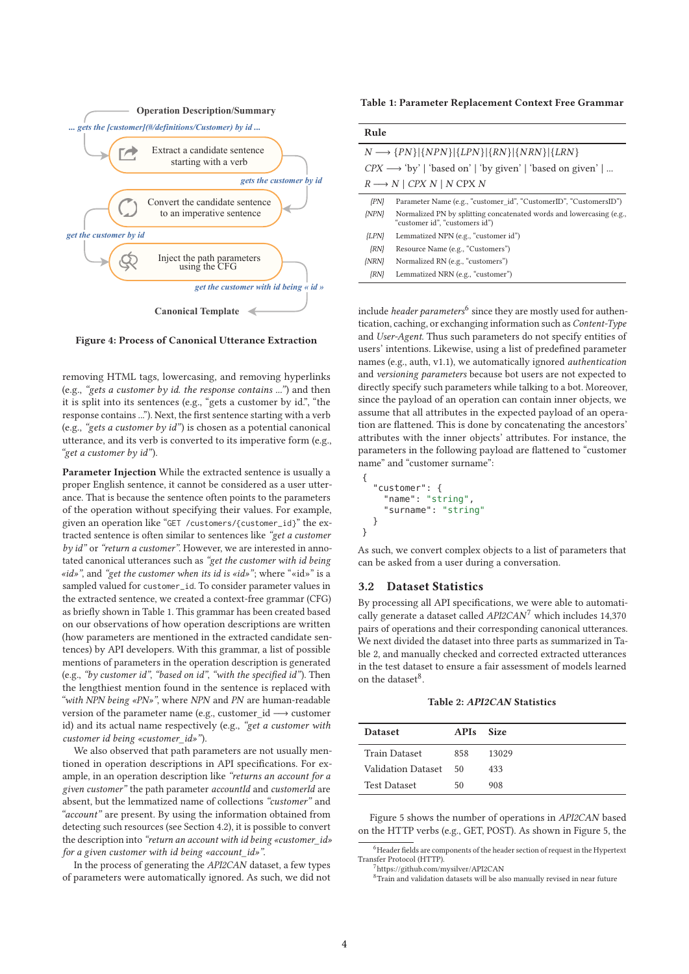

Figure 4: Process of Canonical Utterance Extraction

removing HTML tags, lowercasing, and removing hyperlinks (e.g., "gets a customer by id. the response contains ...") and then it is split into its sentences (e.g., "gets a customer by id.", "the response contains ..."). Next, the first sentence starting with a verb (e.g., "gets a customer by id") is chosen as a potential canonical utterance, and its verb is converted to its imperative form (e.g., "get a customer by id").

Parameter Injection While the extracted sentence is usually a proper English sentence, it cannot be considered as a user utterance. That is because the sentence often points to the parameters of the operation without specifying their values. For example, given an operation like "GET /customers/{customer\_id}" the extracted sentence is often similar to sentences like "get a customer by id" or "return a customer". However, we are interested in annotated canonical utterances such as "get the customer with id being «id»", and "get the customer when its id is «id»"; where "«id»" is a sampled valued for customer\_id. To consider parameter values in the extracted sentence, we created a context-free grammar (CFG) as briefly shown in Table 1. This grammar has been created based on our observations of how operation descriptions are written (how parameters are mentioned in the extracted candidate sentences) by API developers. With this grammar, a list of possible mentions of parameters in the operation description is generated (e.g., "by customer id", "based on id", "with the specified id"). Then the lengthiest mention found in the sentence is replaced with "with NPN being «PN»", where NPN and PN are human-readable version of the parameter name (e.g., customer\_id −→ customer id) and its actual name respectively (e.g., "get a customer with customer id being «customer\_id»").

We also observed that path parameters are not usually mentioned in operation descriptions in API specifications. For example, in an operation description like "returns an account for a given customer" the path parameter accountId and customerId are absent, but the lemmatized name of collections "customer" and "account" are present. By using the information obtained from detecting such resources (see Section 4.2), it is possible to convert the description into "return an account with id being «customer\_id» for a given customer with id being «account\_id»".

In the process of generating the API2CAN dataset, a few types of parameters were automatically ignored. As such, we did not

Table 1: Parameter Replacement Context Free Grammar

| Rule                                                                    |                                                                                                        |  |
|-------------------------------------------------------------------------|--------------------------------------------------------------------------------------------------------|--|
| $N \longrightarrow \{PN\} \{NPN\} \{LPN\} \{RN\} \{NRN\} \{LRN\}$       |                                                                                                        |  |
| $CPX \longrightarrow 'by'$   'based on'   'by given'   'based on given' |                                                                                                        |  |
|                                                                         | $R \longrightarrow N \mid CPX N \mid N \text{ CPX} N$                                                  |  |
| $\{PN\}$                                                                | Parameter Name (e.g., "customer id", "CustomerID", "CustomersID")                                      |  |
| $\{NPN\}$                                                               | Normalized PN by splitting concatenated words and lowercasing (e.g.,<br>"customer id", "customers id") |  |
| ${LPN}$                                                                 | Lemmatized NPN (e.g., "customer id")                                                                   |  |
| $\{RN\}$                                                                | Resource Name (e.g., "Customers")                                                                      |  |
| $\{NRN\}$                                                               | Normalized RN (e.g., "customers")                                                                      |  |
| $\{RN\}$                                                                | Lemmatized NRN (e.g., "customer")                                                                      |  |

include *header parameters*<sup>6</sup> since they are mostly used for authentication, caching, or exchanging information such as Content-Type and User-Agent. Thus such parameters do not specify entities of users' intentions. Likewise, using a list of predefined parameter names (e.g., auth, v1.1), we automatically ignored authentication and versioning parameters because bot users are not expected to directly specify such parameters while talking to a bot. Moreover, since the payload of an operation can contain inner objects, we assume that all attributes in the expected payload of an operation are flattened. This is done by concatenating the ancestors' attributes with the inner objects' attributes. For instance, the parameters in the following payload are flattened to "customer name" and "customer surname":

{ "customer": { "name": "string", "surname": "string" } }

As such, we convert complex objects to a list of parameters that can be asked from a user during a conversation.

#### 3.2 Dataset Statistics

By processing all API specifications, we were able to automatically generate a dataset called  $API2CAN^7$  which includes 14,370 pairs of operations and their corresponding canonical utterances. We next divided the dataset into three parts as summarized in Table 2, and manually checked and corrected extracted utterances in the test dataset to ensure a fair assessment of models learned on the dataset<sup>8</sup>.

Table 2: API2CAN Statistics

| <b>Dataset</b>        | APIs Size |       |
|-----------------------|-----------|-------|
| <b>Train Dataset</b>  | 858       | 13029 |
| Validation Dataset 50 |           | 433   |
| <b>Test Dataset</b>   | 50        | 908   |

Figure 5 shows the number of operations in API2CAN based on the HTTP verbs (e.g., GET, POST). As shown in Figure 5, the

 $6$ Header fields are components of the header section of request in the Hypertext Transfer Protocol (HTTP).

<sup>7</sup>https://github.com/mysilver/API2CAN

<sup>8</sup>Train and validation datasets will be also manually revised in near future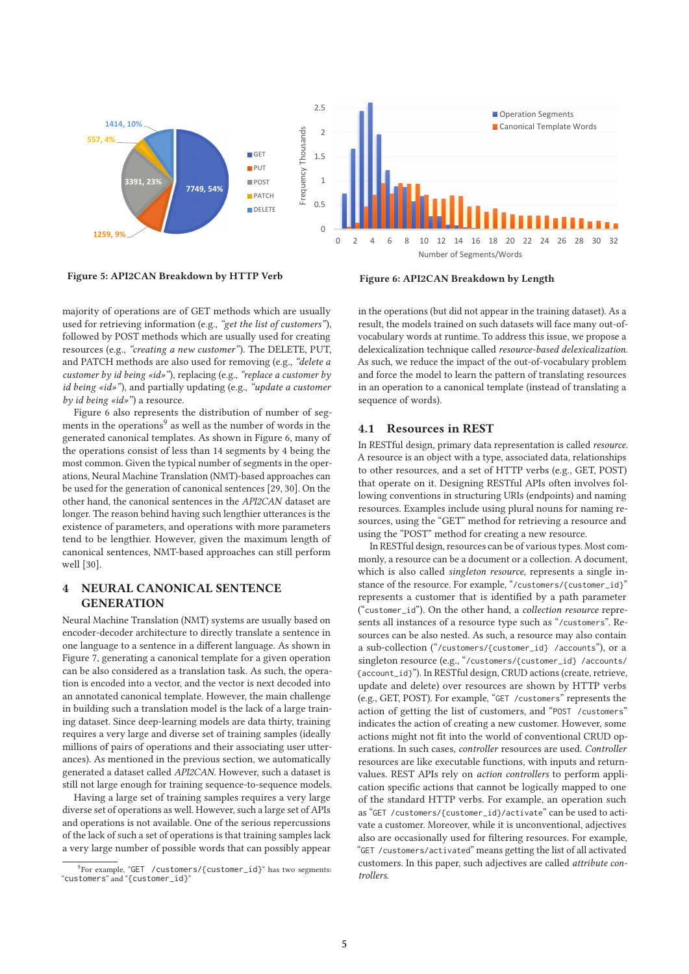

Figure 5: API2CAN Breakdown by HTTP Verb

Figure 6: API2CAN Breakdown by Length

majority of operations are of GET methods which are usually used for retrieving information (e.g., "get the list of customers"), followed by POST methods which are usually used for creating resources (e.g., "creating a new customer"). The DELETE, PUT, and PATCH methods are also used for removing (e.g., "delete a customer by id being «id»"), replacing (e.g., "replace a customer by id being «id»"), and partially updating (e.g., "update a customer by id being «id»") a resource.

Figure 6 also represents the distribution of number of segments in the operations<sup>9</sup> as well as the number of words in the generated canonical templates. As shown in Figure 6, many of the operations consist of less than 14 segments by 4 being the most common. Given the typical number of segments in the operations, Neural Machine Translation (NMT)-based approaches can be used for the generation of canonical sentences [29, 30]. On the other hand, the canonical sentences in the API2CAN dataset are longer. The reason behind having such lengthier utterances is the existence of parameters, and operations with more parameters tend to be lengthier. However, given the maximum length of canonical sentences, NMT-based approaches can still perform well [30].

# 4 NEURAL CANONICAL SENTENCE **GENERATION**

Neural Machine Translation (NMT) systems are usually based on encoder-decoder architecture to directly translate a sentence in one language to a sentence in a different language. As shown in Figure 7, generating a canonical template for a given operation can be also considered as a translation task. As such, the operation is encoded into a vector, and the vector is next decoded into an annotated canonical template. However, the main challenge in building such a translation model is the lack of a large training dataset. Since deep-learning models are data thirty, training requires a very large and diverse set of training samples (ideally millions of pairs of operations and their associating user utterances). As mentioned in the previous section, we automatically generated a dataset called API2CAN. However, such a dataset is still not large enough for training sequence-to-sequence models.

Having a large set of training samples requires a very large diverse set of operations as well. However, such a large set of APIs and operations is not available. One of the serious repercussions of the lack of such a set of operations is that training samples lack a very large number of possible words that can possibly appear

in the operations (but did not appear in the training dataset). As a result, the models trained on such datasets will face many out-ofvocabulary words at runtime. To address this issue, we propose a delexicalization technique called resource-based delexicalization. As such, we reduce the impact of the out-of-vocabulary problem and force the model to learn the pattern of translating resources in an operation to a canonical template (instead of translating a sequence of words).

# 4.1 Resources in REST

In RESTful design, primary data representation is called resource. A resource is an object with a type, associated data, relationships to other resources, and a set of HTTP verbs (e.g., GET, POST) that operate on it. Designing RESTful APIs often involves following conventions in structuring URIs (endpoints) and naming resources. Examples include using plural nouns for naming resources, using the "GET" method for retrieving a resource and using the "POST" method for creating a new resource.

In RESTful design, resources can be of various types. Most commonly, a resource can be a document or a collection. A document, which is also called *singleton resource*, represents a single instance of the resource. For example, "/customers/{customer\_id}" represents a customer that is identified by a path parameter ("customer\_id"). On the other hand, a collection resource represents all instances of a resource type such as "/customers". Resources can be also nested. As such, a resource may also contain a sub-collection ("/customers/{customer\_id} /accounts"), or a singleton resource (e.g., "/customers/{customer\_id} /accounts/ {account\_id}"). In RESTful design, CRUD actions (create, retrieve, update and delete) over resources are shown by HTTP verbs (e.g., GET, POST). For example, "GET /customers" represents the action of getting the list of customers, and "POST /customers" indicates the action of creating a new customer. However, some actions might not fit into the world of conventional CRUD operations. In such cases, controller resources are used. Controller resources are like executable functions, with inputs and returnvalues. REST APIs rely on action controllers to perform application specific actions that cannot be logically mapped to one of the standard HTTP verbs. For example, an operation such as "GET /customers/{customer\_id}/activate" can be used to activate a customer. Moreover, while it is unconventional, adjectives also are occasionally used for filtering resources. For example, "GET /customers/activated" means getting the list of all activated customers. In this paper, such adjectives are called attribute controllers.

<sup>&</sup>lt;sup>9</sup>For example, "GET / customers/{customer\_id}" has two segments: "customers" and "{customer\_id}"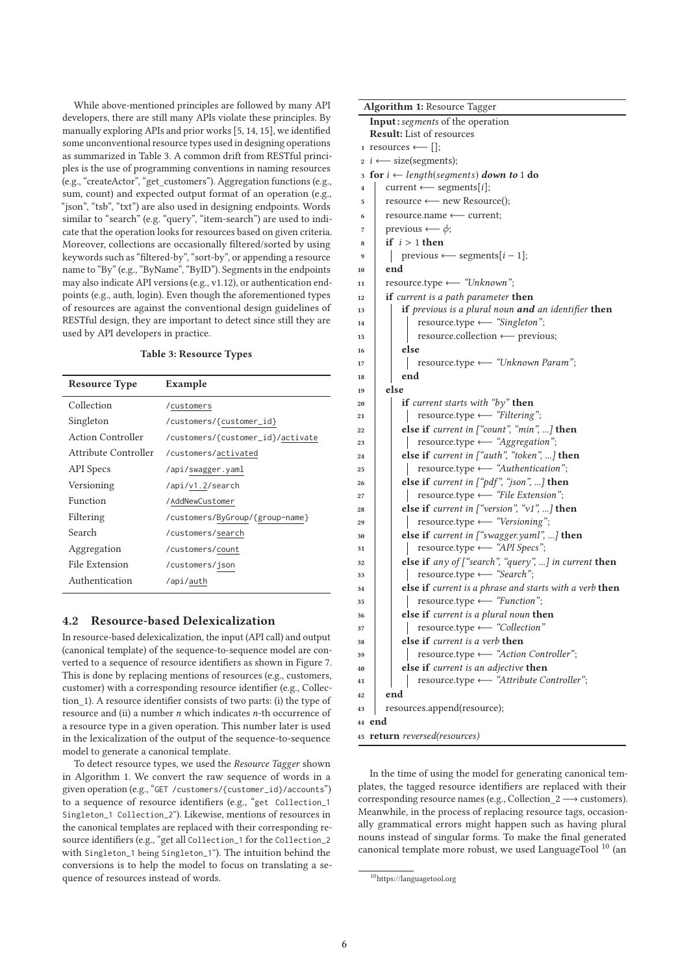While above-mentioned principles are followed by many API developers, there are still many APIs violate these principles. By manually exploring APIs and prior works [5, 14, 15], we identified some unconventional resource types used in designing operations as summarized in Table 3. A common drift from RESTful principles is the use of programming conventions in naming resources (e.g., "createActor", "get\_customers"). Aggregation functions (e.g., sum, count) and expected output format of an operation (e.g., "json", "tsb", "txt") are also used in designing endpoints. Words similar to "search" (e.g. "query", "item-search") are used to indicate that the operation looks for resources based on given criteria. Moreover, collections are occasionally filtered/sorted by using keywords such as "filtered-by", "sort-by", or appending a resource name to "By" (e.g., "ByName", "ByID"). Segments in the endpoints may also indicate API versions (e.g., v1.12), or authentication endpoints (e.g., auth, login). Even though the aforementioned types of resources are against the conventional design guidelines of RESTful design, they are important to detect since still they are used by API developers in practice.

#### Table 3: Resource Types

| <b>Resource Type</b>     | Example                           |  |  |
|--------------------------|-----------------------------------|--|--|
| Collection               | /customers                        |  |  |
| Singleton                | /customers/{customer_id}          |  |  |
| <b>Action Controller</b> | /customers/{customer_id}/activate |  |  |
| Attribute Controller     | /customers/activated              |  |  |
| API Specs                | /api/swagger.yaml                 |  |  |
| Versioning               | /api/v1.2/search                  |  |  |
| Function                 | /AddNewCustomer                   |  |  |
| Filtering                | /customers/ByGroup/{group-name}   |  |  |
| Search                   | /customers/search                 |  |  |
| Aggregation              | /customers/count                  |  |  |
| File Extension           | /customers/json                   |  |  |
| Authentication           | /api/auth                         |  |  |

## 4.2 Resource-based Delexicalization

In resource-based delexicalization, the input (API call) and output (canonical template) of the sequence-to-sequence model are converted to a sequence of resource identifiers as shown in Figure 7. This is done by replacing mentions of resources (e.g., customers, customer) with a corresponding resource identifier (e.g., Collection\_1). A resource identifier consists of two parts: (i) the type of resource and (ii) a number  $n$  which indicates  $n$ -th occurrence of a resource type in a given operation. This number later is used in the lexicalization of the output of the sequence-to-sequence model to generate a canonical template.

To detect resource types, we used the Resource Tagger shown in Algorithm 1. We convert the raw sequence of words in a given operation (e.g., "GET /customers/{customer\_id}/accounts") to a sequence of resource identifiers (e.g., "get Collection\_1 Singleton\_1 Collection\_2"). Likewise, mentions of resources in the canonical templates are replaced with their corresponding resource identifiers (e.g., "get all Collection\_1 for the Collection\_2 with Singleton\_1 being Singleton\_1"). The intuition behind the conversions is to help the model to focus on translating a sequence of resources instead of words.

| <b>Algorithm 1:</b> Resource Tagger                                        |  |  |
|----------------------------------------------------------------------------|--|--|
| Input: segments of the operation                                           |  |  |
| <b>Result:</b> List of resources                                           |  |  |
| 1 resources $\longleftarrow$ $  $ ;                                        |  |  |
| $\alpha$ <i>i</i> $\leftarrow$ size(segments);                             |  |  |
| <b>for</b> $i \leftarrow length(segments)$ <b>down to</b> 1 <b>do</b><br>3 |  |  |
| current $\longleftarrow$ segments[i];<br>4                                 |  |  |
| resource ← new Resource();<br>5                                            |  |  |
| resource.name ← current;<br>6                                              |  |  |
| previous $\longleftarrow \phi$ ;<br>7                                      |  |  |
| if $i > 1$ then<br>8                                                       |  |  |
| previous $\longleftarrow$ segments[ $i-1$ ];<br>9                          |  |  |
| end<br>10                                                                  |  |  |
| resource.type ← "Unknown";<br>11                                           |  |  |
| if current is a path parameter then<br>12                                  |  |  |
| if previous is a plural noun and an identifier then<br>13                  |  |  |
| resource.type ← "Singleton";<br>14                                         |  |  |
| resource.collection ← previous;<br>15                                      |  |  |
| else                                                                       |  |  |
| 16<br>resource.type ← "Unknown Param";                                     |  |  |
| 17<br>end                                                                  |  |  |
| 18<br>else                                                                 |  |  |
| 19<br>if current starts with "by" then                                     |  |  |
| 20<br>resource.type ← "Filtering";                                         |  |  |
| 21<br>else if current in ["count", "min", ] then                           |  |  |
| 22<br>resource.type ← "Aggregation";                                       |  |  |
| 23<br>else if current in ["auth", "token", ] then                          |  |  |
| 24<br>resource.type $\longleftarrow$ "Authentication";                     |  |  |
| 25<br>else if current in ["pdf", "json", ] then                            |  |  |
| 26<br>resource.type ← "File Extension";                                    |  |  |
| 27<br>else if current in ["version", "v1", ] then                          |  |  |
| 28<br>resource.type ← "Versioning";<br>29                                  |  |  |
| else if current in ["swagger.yaml", ] then                                 |  |  |
| 30<br>resource.type ← "API Specs";<br>31                                   |  |  |
| else if any of ["search", "query", ] in current then<br>32                 |  |  |
| resource.type ← "Search";<br>33                                            |  |  |
| else if current is a phrase and starts with a verb then<br>34              |  |  |
| resource.type ← "Function";<br>35                                          |  |  |
| else if current is a plural noun then<br>36                                |  |  |
| resource.type $\longleftarrow$ "Collection"<br>37                          |  |  |
| else if current is a verb then<br>38                                       |  |  |
| resource.type ← "Action Controller";<br>39                                 |  |  |
| <b>else if</b> current is an adjective <b>then</b><br>40                   |  |  |
| resource.type <= "Attribute Controller";<br>41                             |  |  |
| end<br>42                                                                  |  |  |
| resources.append(resource);<br>43                                          |  |  |
| 44 end                                                                     |  |  |
| 45 return reversed(resources)                                              |  |  |

In the time of using the model for generating canonical templates, the tagged resource identifiers are replaced with their corresponding resource names (e.g., Collection  $2 \rightarrow$  customers). Meanwhile, in the process of replacing resource tags, occasionally grammatical errors might happen such as having plural nouns instead of singular forms. To make the final generated canonical template more robust, we used LanguageTool<sup>10</sup> (an

 $^{10}\mathrm{https://language tool.org}$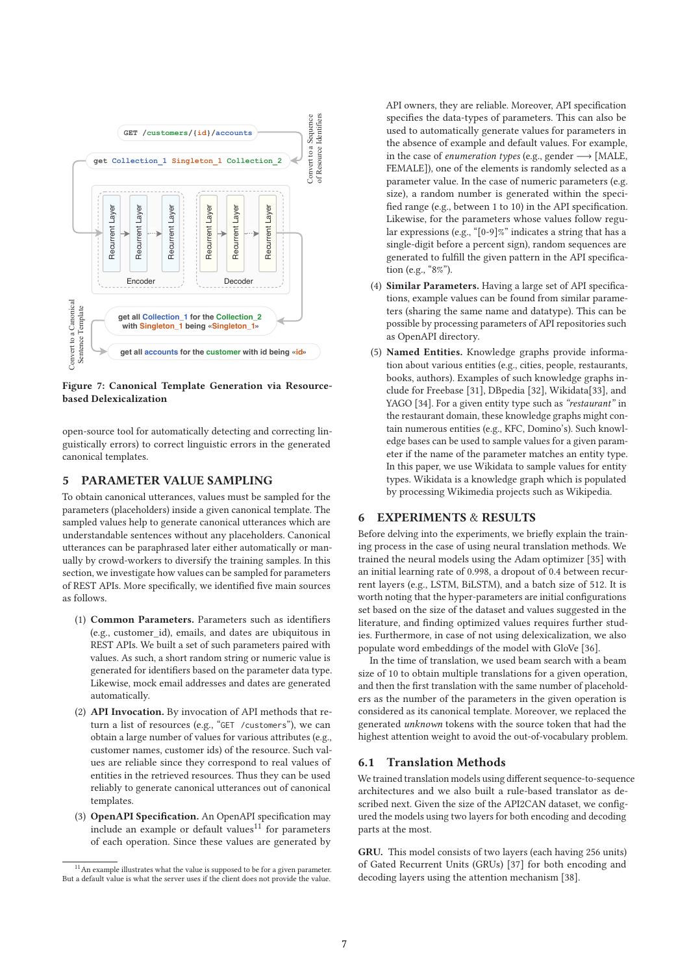

Figure 7: Canonical Template Generation via Resourcebased Delexicalization

open-source tool for automatically detecting and correcting linguistically errors) to correct linguistic errors in the generated canonical templates.

### 5 PARAMETER VALUE SAMPLING

To obtain canonical utterances, values must be sampled for the parameters (placeholders) inside a given canonical template. The sampled values help to generate canonical utterances which are understandable sentences without any placeholders. Canonical utterances can be paraphrased later either automatically or manually by crowd-workers to diversify the training samples. In this section, we investigate how values can be sampled for parameters of REST APIs. More specifically, we identified five main sources as follows.

- (1) Common Parameters. Parameters such as identifiers (e.g., customer\_id), emails, and dates are ubiquitous in REST APIs. We built a set of such parameters paired with values. As such, a short random string or numeric value is generated for identifiers based on the parameter data type. Likewise, mock email addresses and dates are generated automatically.
- (2) API Invocation. By invocation of API methods that return a list of resources (e.g., "GET /customers"), we can obtain a large number of values for various attributes (e.g., customer names, customer ids) of the resource. Such values are reliable since they correspond to real values of entities in the retrieved resources. Thus they can be used reliably to generate canonical utterances out of canonical templates.
- (3) OpenAPI Specification. An OpenAPI specification may include an example or default values $11$  for parameters of each operation. Since these values are generated by

API owners, they are reliable. Moreover, API specification specifies the data-types of parameters. This can also be used to automatically generate values for parameters in the absence of example and default values. For example, in the case of *enumeration types* (e.g., gender  $\longrightarrow$  [MALE, FEMALE]), one of the elements is randomly selected as a parameter value. In the case of numeric parameters (e.g. size), a random number is generated within the speci fied range (e.g., between 1 to 10) in the API specification. Likewise, for the parameters whose values follow regular expressions (e.g., "[0-9]%" indicates a string that has a single-digit before a percent sign), random sequences are generated to fulfill the given pattern in the API specification (e.g., "8%").

- (4) Similar Parameters. Having a large set of API specifications, example values can be found from similar parameters (sharing the same name and datatype). This can be possible by processing parameters of API repositories such as OpenAPI directory.
- (5) Named Entities. Knowledge graphs provide information about various entities (e.g., cities, people, restaurants, books, authors). Examples of such knowledge graphs include for Freebase [31], DBpedia [32], Wikidata[33], and YAGO [34]. For a given entity type such as "restaurant" in the restaurant domain, these knowledge graphs might contain numerous entities (e.g., KFC, Domino's). Such knowledge bases can be used to sample values for a given parameter if the name of the parameter matches an entity type. In this paper, we use Wikidata to sample values for entity types. Wikidata is a knowledge graph which is populated by processing Wikimedia projects such as Wikipedia.

## 6 EXPERIMENTS & RESULTS

Before delving into the experiments, we briefly explain the training process in the case of using neural translation methods. We trained the neural models using the Adam optimizer [35] with an initial learning rate of 0.998, a dropout of 0.4 between recurrent layers (e.g., LSTM, BiLSTM), and a batch size of 512. It is worth noting that the hyper-parameters are initial configurations set based on the size of the dataset and values suggested in the literature, and finding optimized values requires further studies. Furthermore, in case of not using delexicalization, we also populate word embeddings of the model with GloVe [36].

In the time of translation, we used beam search with a beam size of 10 to obtain multiple translations for a given operation, and then the first translation with the same number of placeholders as the number of the parameters in the given operation is considered as its canonical template. Moreover, we replaced the generated unknown tokens with the source token that had the highest attention weight to avoid the out-of-vocabulary problem.

## 6.1 Translation Methods

We trained translation models using different sequence-to-sequence architectures and we also built a rule-based translator as described next. Given the size of the API2CAN dataset, we configured the models using two layers for both encoding and decoding parts at the most.

GRU. This model consists of two layers (each having 256 units) of Gated Recurrent Units (GRUs) [37] for both encoding and decoding layers using the attention mechanism [38].

<sup>&</sup>lt;sup>11</sup> An example illustrates what the value is supposed to be for a given parameter. But a default value is what the server uses if the client does not provide the value.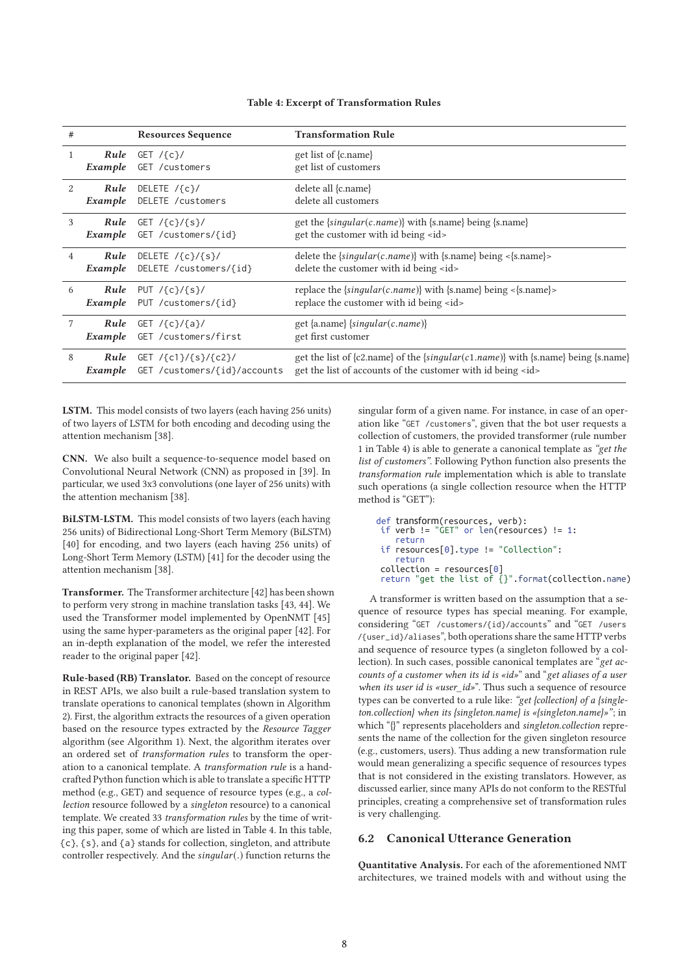| #             |         | <b>Resources Sequence</b>                                                                                              | <b>Transformation Rule</b>                                                                                                                            |
|---------------|---------|------------------------------------------------------------------------------------------------------------------------|-------------------------------------------------------------------------------------------------------------------------------------------------------|
| 1             | Example | <b>Rule</b> GET $\{c\}$<br>GET /customers                                                                              | get list of {c.name}<br>get list of customers                                                                                                         |
| $\mathcal{L}$ |         | <b>Rule</b> DELETE $\{c\}$<br><b>Example</b> DELETE / customers                                                        | delete all {c.name}<br>delete all customers                                                                                                           |
| 3             |         | <b>Rule</b> GET $\left\{ \frac{c}{s}\right\}$<br>Example GET / customers/{id}                                          | get the {singular(c.name)} with {s.name} being {s.name}<br>get the customer with id being <id></id>                                                   |
| 4             |         | <b>Rule</b> DELETE $\langle {\mathfrak c} \rangle / {\mathfrak s} \rangle /$<br><i>Example</i> DELETE / customers/{id} | delete the {singular(c.name)} with {s.name} being <{s.name}><br>delete the customer with id being <id></id>                                           |
| 6             |         | <b>Rule</b> PUT $\left\{ \frac{c}{s}\right\}$<br><i>Example</i> PUT / customers/{id}                                   | replace the $\{singular(c.name)\}$ with $\{s.name\}$ being < $\{s.name\}$ ><br>replace the customer with id being <id></id>                           |
| 7             | Example | <b>Rule</b> GET $\frac{1}{6}$ (c) $\frac{1}{4}$<br>GET /customers/first                                                | get {a.name} {singular(c.name)}<br>get first customer                                                                                                 |
| 8             | Example | <b>Rule</b> GET /{c1}/{s}/{c2}/<br>GET /customers/{id}/accounts                                                        | get the list of {c2.name} of the {singular(c1.name)} with {s.name} being {s.name}<br>get the list of accounts of the customer with id being <id></id> |

#### Table 4: Excerpt of Transformation Rules

LSTM. This model consists of two layers (each having 256 units) of two layers of LSTM for both encoding and decoding using the attention mechanism [38].

CNN. We also built a sequence-to-sequence model based on Convolutional Neural Network (CNN) as proposed in [39]. In particular, we used 3x3 convolutions (one layer of 256 units) with the attention mechanism [38].

BiLSTM-LSTM. This model consists of two layers (each having 256 units) of Bidirectional Long-Short Term Memory (BiLSTM) [40] for encoding, and two layers (each having 256 units) of Long-Short Term Memory (LSTM) [41] for the decoder using the attention mechanism [38].

Transformer. The Transformer architecture [42] has been shown to perform very strong in machine translation tasks [43, 44]. We used the Transformer model implemented by OpenNMT [45] using the same hyper-parameters as the original paper [42]. For an in-depth explanation of the model, we refer the interested reader to the original paper [42].

Rule-based (RB) Translator. Based on the concept of resource in REST APIs, we also built a rule-based translation system to translate operations to canonical templates (shown in Algorithm 2). First, the algorithm extracts the resources of a given operation based on the resource types extracted by the Resource Tagger algorithm (see Algorithm 1). Next, the algorithm iterates over an ordered set of transformation rules to transform the operation to a canonical template. A transformation rule is a handcrafted Python function which is able to translate a specific HTTP method (e.g., GET) and sequence of resource types (e.g., a collection resource followed by a singleton resource) to a canonical template. We created 33 transformation rules by the time of writing this paper, some of which are listed in Table 4. In this table, {c}, {s}, and {a} stands for collection, singleton, and attribute controller respectively. And the singular(.) function returns the

singular form of a given name. For instance, in case of an operation like "GET /customers", given that the bot user requests a collection of customers, the provided transformer (rule number 1 in Table 4) is able to generate a canonical template as "get the list of customers". Following Python function also presents the transformation rule implementation which is able to translate such operations (a single collection resource when the HTTP method is "GET"):

```
def transform(resources, verb):
 if verb != "GET" or len(resources) != 1:
    return
 if resources[0].type != "Collection":
     return
collection = resources[0]
 return "get the list of {}".format(collection.name)
```
A transformer is written based on the assumption that a sequence of resource types has special meaning. For example, considering "GET /customers/{id}/accounts" and "GET /users /{user\_id}/aliases", both operations share the same HTTP verbs and sequence of resource types (a singleton followed by a collection). In such cases, possible canonical templates are "get accounts of a customer when its id is «id»" and "get aliases of a user when its user id is «user\_id»". Thus such a sequence of resource types can be converted to a rule like: "get {collection} of a {singleton.collection} when its {singleton.name} is «{singleton.name}»"; in which "{}" represents placeholders and singleton.collection represents the name of the collection for the given singleton resource (e.g., customers, users). Thus adding a new transformation rule would mean generalizing a specific sequence of resources types that is not considered in the existing translators. However, as discussed earlier, since many APIs do not conform to the RESTful principles, creating a comprehensive set of transformation rules is very challenging.

## 6.2 Canonical Utterance Generation

Quantitative Analysis. For each of the aforementioned NMT architectures, we trained models with and without using the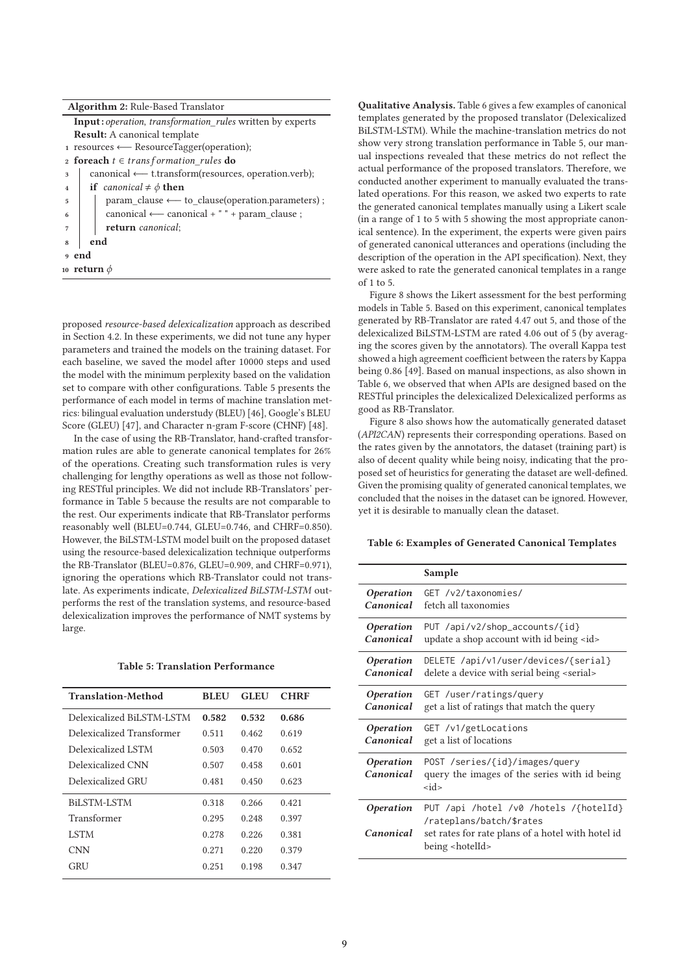| <b>Algorithm 2: Rule-Based Translator</b>                             |  |  |
|-----------------------------------------------------------------------|--|--|
| <b>Input:</b> operation, transformation rules written by experts      |  |  |
| <b>Result:</b> A canonical template                                   |  |  |
| $_1$ resources $\leftarrow$ ResourceTagger(operation);                |  |  |
| 2 <b>foreach</b> $t \in transformation_{rule}$ <b>do</b>              |  |  |
| $canonical \leftarrow t. transform(resources, operation. verb);$<br>3 |  |  |
| <b>if</b> canonical $\neq \phi$ <b>then</b><br>$\overline{4}$         |  |  |
| $param$ -clause $\leftarrow$ to -clause(operation.parameters);<br>5   |  |  |
| canonical $\longleftarrow$ canonical + " " + param clause;<br>6       |  |  |
| return canonical;<br>7                                                |  |  |
| end<br>8                                                              |  |  |
| 9 end                                                                 |  |  |
| 10 return $\phi$                                                      |  |  |

proposed resource-based delexicalization approach as described in Section 4.2. In these experiments, we did not tune any hyper parameters and trained the models on the training dataset. For each baseline, we saved the model after 10000 steps and used the model with the minimum perplexity based on the validation set to compare with other configurations. Table 5 presents the performance of each model in terms of machine translation metrics: bilingual evaluation understudy (BLEU) [46], Google's BLEU Score (GLEU) [47], and Character n-gram F-score (CHNF) [48].

In the case of using the RB-Translator, hand-crafted transformation rules are able to generate canonical templates for 26% of the operations. Creating such transformation rules is very challenging for lengthy operations as well as those not following RESTful principles. We did not include RB-Translators' performance in Table 5 because the results are not comparable to the rest. Our experiments indicate that RB-Translator performs reasonably well (BLEU=0.744, GLEU=0.746, and CHRF=0.850). However, the BiLSTM-LSTM model built on the proposed dataset using the resource-based delexicalization technique outperforms the RB-Translator (BLEU=0.876, GLEU=0.909, and CHRF=0.971), ignoring the operations which RB-Translator could not translate. As experiments indicate, Delexicalized BiLSTM-LSTM outperforms the rest of the translation systems, and resource-based delexicalization improves the performance of NMT systems by large.

#### Table 5: Translation Performance

| <b>Translation-Method</b> | <b>BLEU</b> | <b>GLEU</b> | <b>CHRF</b> |
|---------------------------|-------------|-------------|-------------|
| Delexicalized BiLSTM-LSTM | 0.582       | 0.532       | 0.686       |
| Delexicalized Transformer | 0.511       | 0.462       | 0.619       |
| Delexicalized LSTM        | 0.503       | 0.470       | 0.652       |
| Delexicalized CNN         | 0.507       | 0.458       | 0.601       |
| Delexicalized GRU         | 0.481       | 0.450       | 0.623       |
| BILSTM-LSTM               | 0.318       | 0.266       | 0.421       |
| Transformer               | 0.295       | 0.248       | 0.397       |
| <b>LSTM</b>               | 0.278       | 0.226       | 0.381       |
| <b>CNN</b>                | 0.271       | 0.220       | 0.379       |
| <b>GRU</b>                | 0.251       | 0.198       | 0.347       |

Qualitative Analysis. Table 6 gives a few examples of canonical templates generated by the proposed translator (Delexicalized BiLSTM-LSTM). While the machine-translation metrics do not show very strong translation performance in Table 5, our manual inspections revealed that these metrics do not reflect the actual performance of the proposed translators. Therefore, we conducted another experiment to manually evaluated the translated operations. For this reason, we asked two experts to rate the generated canonical templates manually using a Likert scale (in a range of 1 to 5 with 5 showing the most appropriate canonical sentence). In the experiment, the experts were given pairs of generated canonical utterances and operations (including the description of the operation in the API specification). Next, they were asked to rate the generated canonical templates in a range of 1 to 5.

Figure 8 shows the Likert assessment for the best performing models in Table 5. Based on this experiment, canonical templates generated by RB-Translator are rated 4.47 out 5, and those of the delexicalized BiLSTM-LSTM are rated 4.06 out of 5 (by averaging the scores given by the annotators). The overall Kappa test showed a high agreement coefficient between the raters by Kappa being 0.86 [49]. Based on manual inspections, as also shown in Table 6, we observed that when APIs are designed based on the RESTful principles the delexicalized Delexicalized performs as good as RB-Translator.

Figure 8 also shows how the automatically generated dataset (API2CAN) represents their corresponding operations. Based on the rates given by the annotators, the dataset (training part) is also of decent quality while being noisy, indicating that the proposed set of heuristics for generating the dataset are well-defined. Given the promising quality of generated canonical templates, we concluded that the noises in the dataset can be ignored. However, yet it is desirable to manually clean the dataset.

## Table 6: Examples of Generated Canonical Templates

|                                      | Sample                                                                                                                                               |
|--------------------------------------|------------------------------------------------------------------------------------------------------------------------------------------------------|
| <i><b>Operation</b></i>              | GET /v2/taxonomies/                                                                                                                                  |
| Canonical                            | fetch all taxonomies                                                                                                                                 |
| <i><b>Operation</b></i>              | PUT /api/v2/shop_accounts/{id}                                                                                                                       |
| Canonical                            | update a shop account with id being <id></id>                                                                                                        |
| <i><b>Operation</b></i>              | DELETE /api/v1/user/devices/{serial}                                                                                                                 |
| Canonical                            | delete a device with serial being <serial></serial>                                                                                                  |
| <i><b>Operation</b></i>              | GET /user/ratings/query                                                                                                                              |
| Canonical                            | get a list of ratings that match the query                                                                                                           |
| <i><b>Operation</b></i>              | GET /v1/getLocations                                                                                                                                 |
| Canonical                            | get a list of locations                                                                                                                              |
| <i><b>Operation</b></i><br>Canonical | POST /series/{id}/images/query<br>query the images of the series with id being<br>$<$ id $>$                                                         |
| <i><b>Operation</b></i><br>Canonical | PUT /api /hotel /v0 /hotels /{hotelId}<br>/rateplans/batch/\$rates<br>set rates for rate plans of a hotel with hotel id<br>being <hotelid></hotelid> |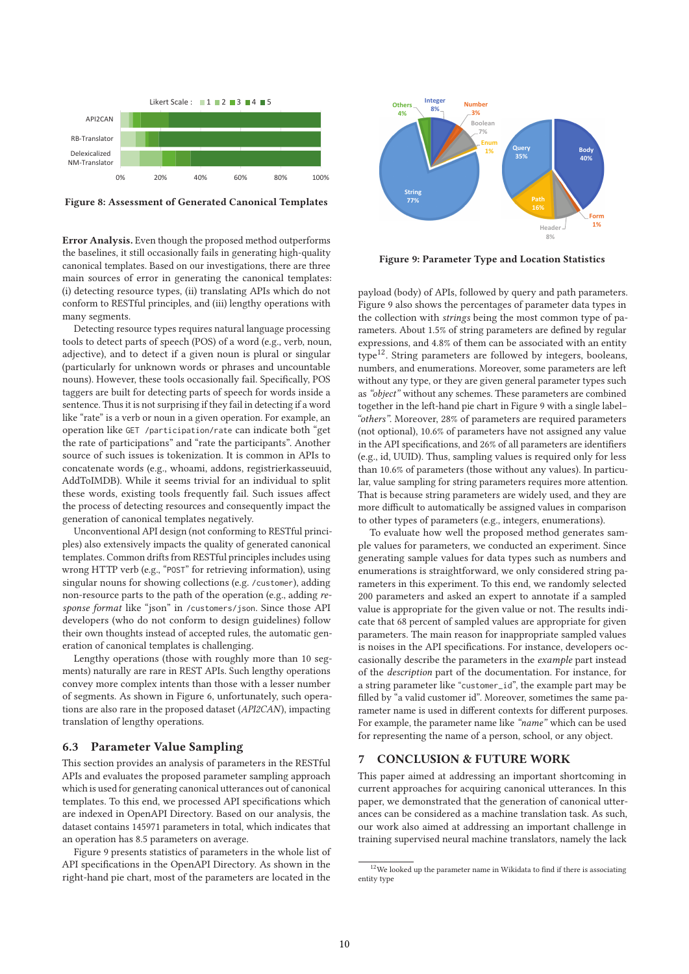

Figure 8: Assessment of Generated Canonical Templates

Error Analysis. Even though the proposed method outperforms the baselines, it still occasionally fails in generating high-quality canonical templates. Based on our investigations, there are three main sources of error in generating the canonical templates: (i) detecting resource types, (ii) translating APIs which do not conform to RESTful principles, and (iii) lengthy operations with many segments.

Detecting resource types requires natural language processing tools to detect parts of speech (POS) of a word (e.g., verb, noun, adjective), and to detect if a given noun is plural or singular (particularly for unknown words or phrases and uncountable nouns). However, these tools occasionally fail. Specifically, POS taggers are built for detecting parts of speech for words inside a sentence. Thus it is not surprising if they fail in detecting if a word like "rate" is a verb or noun in a given operation. For example, an operation like GET /participation/rate can indicate both "get the rate of participations" and "rate the participants". Another source of such issues is tokenization. It is common in APIs to concatenate words (e.g., whoami, addons, registrierkasseuuid, AddToIMDB). While it seems trivial for an individual to split these words, existing tools frequently fail. Such issues affect the process of detecting resources and consequently impact the generation of canonical templates negatively.

Unconventional API design (not conforming to RESTful principles) also extensively impacts the quality of generated canonical templates. Common drifts from RESTful principles includes using wrong HTTP verb (e.g., "POST" for retrieving information), using singular nouns for showing collections (e.g. /customer), adding non-resource parts to the path of the operation (e.g., adding response format like "json" in /customers/json. Since those API developers (who do not conform to design guidelines) follow their own thoughts instead of accepted rules, the automatic generation of canonical templates is challenging.

Lengthy operations (those with roughly more than 10 segments) naturally are rare in REST APIs. Such lengthy operations convey more complex intents than those with a lesser number of segments. As shown in Figure 6, unfortunately, such operations are also rare in the proposed dataset (API2CAN), impacting translation of lengthy operations.

#### 6.3 Parameter Value Sampling

This section provides an analysis of parameters in the RESTful APIs and evaluates the proposed parameter sampling approach which is used for generating canonical utterances out of canonical templates. To this end, we processed API specifications which are indexed in OpenAPI Directory. Based on our analysis, the dataset contains 145971 parameters in total, which indicates that an operation has 8.5 parameters on average.

Figure 9 presents statistics of parameters in the whole list of API specifications in the OpenAPI Directory. As shown in the right-hand pie chart, most of the parameters are located in the



Figure 9: Parameter Type and Location Statistics

payload (body) of APIs, followed by query and path parameters. Figure 9 also shows the percentages of parameter data types in the collection with strings being the most common type of parameters. About 1.5% of string parameters are defined by regular expressions, and 4.8% of them can be associated with an entity type<sup>12</sup>. String parameters are followed by integers, booleans, numbers, and enumerations. Moreover, some parameters are left without any type, or they are given general parameter types such as "object" without any schemes. These parameters are combined together in the left-hand pie chart in Figure 9 with a single label– "others". Moreover, 28% of parameters are required parameters (not optional), 10.6% of parameters have not assigned any value in the API specifications, and 26% of all parameters are identifiers (e.g., id, UUID). Thus, sampling values is required only for less than 10.6% of parameters (those without any values). In particular, value sampling for string parameters requires more attention. That is because string parameters are widely used, and they are more difficult to automatically be assigned values in comparison to other types of parameters (e.g., integers, enumerations).

To evaluate how well the proposed method generates sample values for parameters, we conducted an experiment. Since generating sample values for data types such as numbers and enumerations is straightforward, we only considered string parameters in this experiment. To this end, we randomly selected 200 parameters and asked an expert to annotate if a sampled value is appropriate for the given value or not. The results indicate that 68 percent of sampled values are appropriate for given parameters. The main reason for inappropriate sampled values is noises in the API specifications. For instance, developers occasionally describe the parameters in the example part instead of the description part of the documentation. For instance, for a string parameter like "customer\_id", the example part may be filled by "a valid customer id". Moreover, sometimes the same parameter name is used in different contexts for different purposes. For example, the parameter name like "name" which can be used for representing the name of a person, school, or any object.

#### 7 CONCLUSION & FUTURE WORK

This paper aimed at addressing an important shortcoming in current approaches for acquiring canonical utterances. In this paper, we demonstrated that the generation of canonical utterances can be considered as a machine translation task. As such, our work also aimed at addressing an important challenge in training supervised neural machine translators, namely the lack

 $12\overline{\text{We looked}}$  up the parameter name in Wikidata to find if there is associating entity type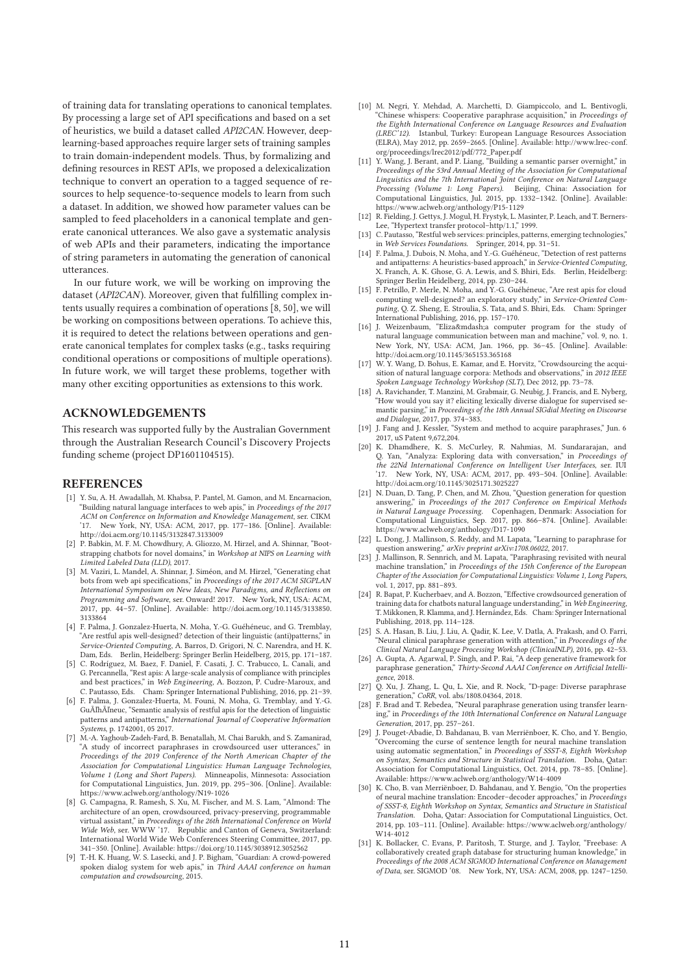of training data for translating operations to canonical templates. By processing a large set of API specifications and based on a set of heuristics, we build a dataset called API2CAN. However, deeplearning-based approaches require larger sets of training samples to train domain-independent models. Thus, by formalizing and defining resources in REST APIs, we proposed a delexicalization technique to convert an operation to a tagged sequence of resources to help sequence-to-sequence models to learn from such a dataset. In addition, we showed how parameter values can be sampled to feed placeholders in a canonical template and generate canonical utterances. We also gave a systematic analysis of web APIs and their parameters, indicating the importance of string parameters in automating the generation of canonical utterances.

In our future work, we will be working on improving the dataset ( $API2CAN$ ). Moreover, given that fulfilling complex intents usually requires a combination of operations [8, 50], we will be working on compositions between operations. To achieve this, it is required to detect the relations between operations and generate canonical templates for complex tasks (e.g., tasks requiring conditional operations or compositions of multiple operations). In future work, we will target these problems, together with many other exciting opportunities as extensions to this work.

## ACKNOWLEDGEMENTS

This research was supported fully by the Australian Government through the Australian Research Council's Discovery Projects funding scheme (project DP1601104515).

#### **REFERENCES**

- [1] Y. Su, A. H. Awadallah, M. Khabsa, P. Pantel, M. Gamon, and M. Encarnacion, "Building natural language interfaces to web apis," in Proceedings of the 2017 ACM on Conference on Information and Knowledge Management, ser. CIKM New York, NY, USA: ACM, 2017, pp. 177-186. [Online]. Available: http://doi.acm.org/10.1145/3132847.3133009
- [2] P. Babkin, M. F. M. Chowdhury, A. Gliozzo, M. Hirzel, and A. Shinnar, "Bootstrapping chatbots for novel domains," in Workshop at NIPS on Learning with Limited Labeled Data (LLD), 2017.
- [3] M. Vaziri, L. Mandel, A. Shinnar, J. Siméon, and M. Hirzel, "Generating chat bots from web api specifications," in Proceedings of the 2017 ACM SIGPLAN International Symposium on New Ideas, New Paradigms, and Reflections on Programming and Software, ser. Onward! 2017. New York, NY, USA: ACM, 2017, pp. 44–57. [Online]. Available: http://doi.acm.org/10.1145/3133850. 3133864
- [4] F. Palma, J. Gonzalez-Huerta, N. Moha, Y.-G. Guéhéneuc, and G. Tremblay, "Are restful apis well-designed? detection of their linguistic (anti)patterns," in Service-Oriented Computing, A. Barros, D. Grigori, N. C. Narendra, and H. K. Dam, Eds. Berlin, Heidelberg: Springer Berlin Heidelberg, 2015, pp. 171–187.
- [5] C. Rodríguez, M. Baez, F. Daniel, F. Casati, J. C. Trabucco, L. Canali, and G. Percannella, "Rest apis: A large-scale analysis of compliance with principles and best practices," in Web Engineering, A. Bozzon, P. Cudre-Maroux, and C. Pautasso, Eds. Cham: Springer International Publishing, 2016, pp. 21–39.
- [6] F. Palma, J. Gonzalez-Huerta, M. Founi, N. Moha, G. Tremblay, and Y.-G. GuÃľhÃľneuc, "Semantic analysis of restful apis for the detection of linguistic patterns and antipatterns," International Journal of Cooperative Information Systems, p. 1742001, 05 2017.
- [7] M.-A. Yaghoub-Zadeh-Fard, B. Benatallah, M. Chai Barukh, and S. Zamanirad, "A study of incorrect paraphrases in crowdsourced user utterances," in Proceedings of the 2019 Conference of the North American Chapter of the Association for Computational Linguistics: Human Language Technologies, Volume 1 (Long and Short Papers). Minneapolis, Minnesota: Association for Computational Linguistics, Jun. 2019, pp. 295–306. [Online]. Available:
- https://www.aclweb.org/anthology/N19-1026 [8] G. Campagna, R. Ramesh, S. Xu, M. Fischer, and M. S. Lam, "Almond: The architecture of an open, crowdsourced, privacy-preserving, programmable virtual assistant," in Proceedings of the 26th International Conference on World Wide Web, ser. WWW '17. Republic and Canton of Geneva, Switzerland: International World Wide Web Conferences Steering Committee, 2017, pp. 341–350. [Online]. Available: https://doi.org/10.1145/3038912.3052562
- [9] T.-H. K. Huang, W. S. Lasecki, and J. P. Bigham, "Guardian: A crowd-powered spoken dialog system for web apis," in Third AAAI conference on human computation and crowdsourcing, 2015.
- [10] M. Negri, Y. Mehdad, A. Marchetti, D. Giampiccolo, and L. Bentivogli, "Chinese whispers: Cooperative paraphrase acquisition," in Proceedings of the Eighth International Conference on Language Resources and Evaluation (LREC'12). Istanbul, Turkey: European Language Resources Association (ELRA), May 2012, pp. 2659–2665. [Online]. Available: http://www.lrec-conf. org/proceedings/lrec2012/pdf/772\_Paper.pdf
- [11] Y. Wang, J. Berant, and P. Liang, "Building a semantic parser overnight," in Proceedings of the 53rd Annual Meeting of the Association for Computational Linguistics and the 7th International Joint Conference on Natural Language Processing (Volume 1: Long Papers). Beijing, China: Association for Computational Linguistics, Jul. 2015, pp. 1332–1342. [Online]. Available: https://www.aclweb.org/anthology/P15-1129
- [12] R. Fielding, J. Gettys, J. Mogul, H. Frystyk, L. Masinter, P. Leach, and T. Berners-Lee, "Hypertext transfer protocol–http/1.1," 1999.
- [13] C. Pautasso, "Restful web services: principles, patterns, emerging technologies," in Web Services Foundations. Springer, 2014, pp. 31–51.
- [14] F. Palma, J. Dubois, N. Moha, and Y.-G. Guéhéneuc, "Detection of rest patterns and antipatterns: A heuristics-based approach," in Service-Oriented Computing, X. Franch, A. K. Ghose, G. A. Lewis, and S. Bhiri, Eds. Berlin, Heidelberg: Springer Berlin Heidelberg, 2014, pp. 230–244.
- [15] F. Petrillo, P. Merle, N. Moha, and Y.-G. Guéhéneuc, "Are rest apis for cloud computing well-designed? an exploratory study," in Service-Oriented Computing, Q. Z. Sheng, E. Stroulia, S. Tata, and S. Bhiri, Eds. Cham: Springer International Publishing, 2016, pp. 157–170.
- [16] J. Weizenbaum, "Eliza—a computer program for the study of natural language communication between man and machine," vol. 9, no. 1. New York, NY, USA: ACM, Jan. 1966, pp. 36–45. [Online]. Available: http://doi.acm.org/10.1145/365153.365168
- [17] W. Y. Wang, D. Bohus, E. Kamar, and E. Horvitz, "Crowdsourcing the acquisition of natural language corpora: Methods and observations," in 2012 IEEE Spoken Language Technology Workshop (SLT), Dec 2012, pp. 73–78.
- [18] A. Ravichander, T. Manzini, M. Grabmair, G. Neubig, J. Francis, and E. Nyberg, "How would you say it? eliciting lexically diverse dialogue for supervised semantic parsing," in Proceedings of the 18th Annual SIGdial Meeting on Discourse and Dialogue, 2017, pp. 374–383.
- [19] J. Fang and J. Kessler, "System and method to acquire paraphrases," Jun. 6 2017, uS Patent 9,672,204.
- [20] K. Dhamdhere, K. S. McCurley, R. Nahmias, M. Sundararajan, and Q. Yan, "Analyza: Exploring data with conversation," in Proceedings of the 22Nd International Conference on Intelligent User Interfaces, ser. IUI '17. New York, NY, USA: ACM, 2017, pp. 493–504. [Online]. Available: http://doi.acm.org/10.1145/3025171.3025227
- [21] N. Duan, D. Tang, P. Chen, and M. Zhou, "Question generation for question answering," in Proceedings of the 2017 Conference on Empirical Methods in Natural Language Processing. Copenhagen, Denmark: Association for Computational Linguistics, Sep. 2017, pp. 866–874. [Online]. Available: https://www.aclweb.org/anthology/D17-1090
- [22] L. Dong, J. Mallinson, S. Reddy, and M. Lapata, "Learning to paraphrase for question answering," arXiv preprint arXiv:1708.06022, 2017.
- [23] J. Mallinson, R. Sennrich, and M. Lapata, "Paraphrasing revisited with neural machine translation," in Proceedings of the 15th Conference of the European Chapter of the Association for Computational Linguistics: Volume 1, Long Papers,
- vol. 1, 2017, pp. 881–893.<br>[24] R. Bapat, P. Kucherbaev, and A. Bozzon, "Effective crowdsourced generation of training data for chatbots natural language understanding," in Web Engineering, T. Mikkonen, R. Klamma, and J. Hernández, Eds. Cham: Springer International Publishing, 2018, pp. 114–128.
- [25] S. A. Hasan, B. Liu, J. Liu, A. Qadir, K. Lee, V. Datla, A. Prakash, and O. Farri, "Neural clinical paraphrase generation with attention," in Proceedings of the Clinical Natural Language Processing Workshop (ClinicalNLP), 2016, pp. 42–53.
- [26] A. Gupta, A. Agarwal, P. Singh, and P. Rai, "A deep generative framework for paraphrase generation," Thirty-Second AAAI Conference on Artificial Intelligence, 2018.
- [27] Q. Xu, J. Zhang, L. Qu, L. Xie, and R. Nock, "D-page: Diverse paraphrase generation," CoRR, vol. abs/1808.04364, 2018.
- [28] F. Brad and T. Rebedea, "Neural paraphrase generation using transfer learning," in Proceedings of the 10th International Conference on Natural Language Generation, 2017, pp. 257–261.
- [29] J. Pouget-Abadie, D. Bahdanau, B. van Merriënboer, K. Cho, and Y. Bengio, "Overcoming the curse of sentence length for neural machine translation using automatic segmentation," in Proceedings of SSST-8, Eighth Workshop on Syntax, Semantics and Structure in Statistical Translation. Doha, Qatar: Association for Computational Linguistics, Oct. 2014, pp. 78–85. [Online]. Available: https://www.aclweb.org/anthology/W14-4009
- [30] K. Cho, B. van Merriënboer, D. Bahdanau, and Y. Bengio, "On the properties of neural machine translation: Encoder–decoder approaches," in Proceedings of SSST-8, Eighth Workshop on Syntax, Semantics and Structure in Statistical Translation. Doha, Qatar: Association for Computational Linguistics, Oct. 2014, pp. 103–111. [Online]. Available: https://www.aclweb.org/anthology/ W14-4012
- [31] K. Bollacker, C. Evans, P. Paritosh, T. Sturge, and J. Taylor, "Freebase: A collaboratively created graph database for structuring human knowledge," in Proceedings of the 2008 ACM SIGMOD International Conference on Management of Data, ser. SIGMOD '08. New York, NY, USA: ACM, 2008, pp. 1247–1250.